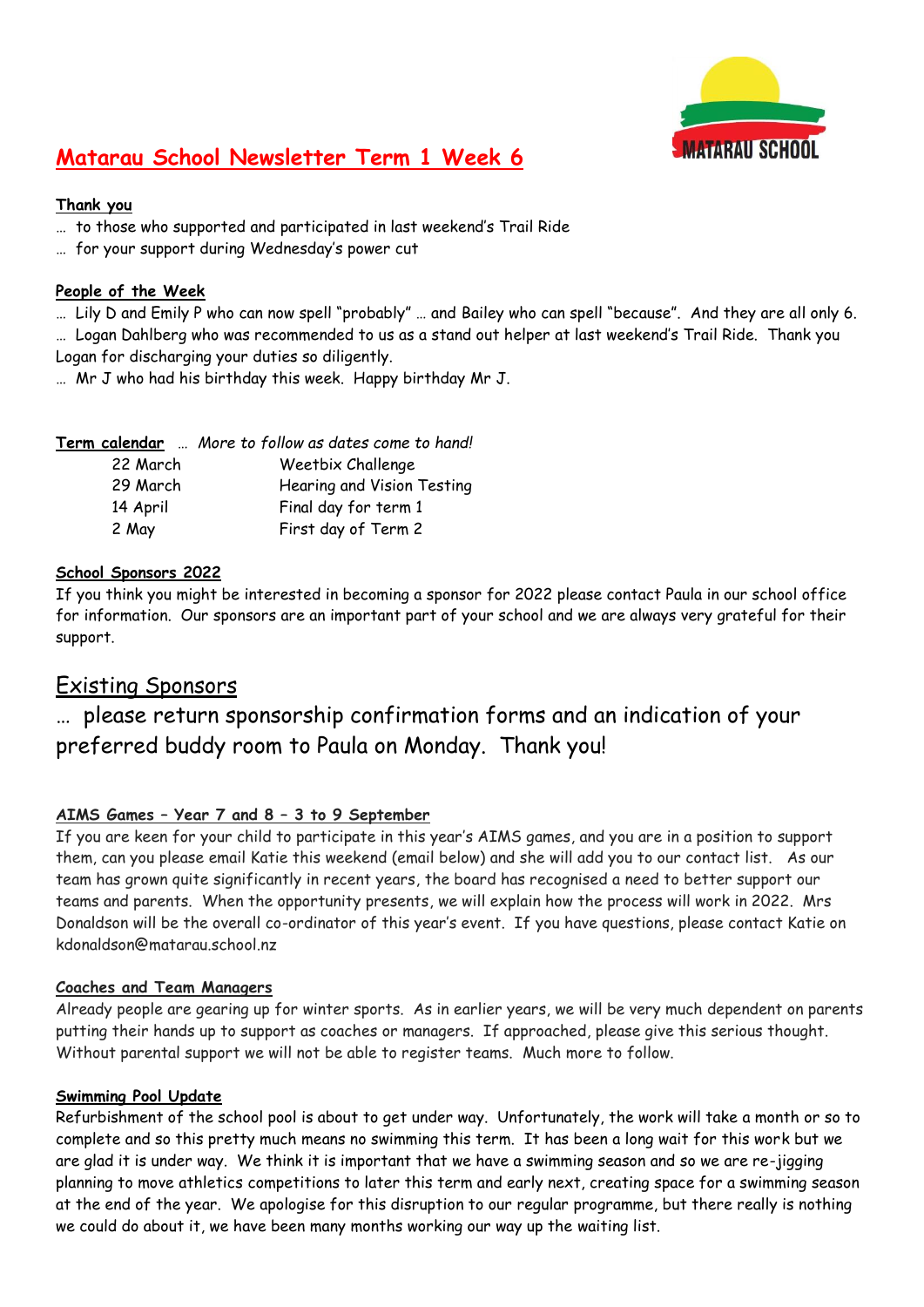

## **Matarau School Newsletter Term 1 Week 6**

#### **Thank you**

- … to those who supported and participated in last weekend's Trail Ride
- … for your support during Wednesday's power cut

#### **People of the Week**

… Lily D and Emily P who can now spell "probably" … and Bailey who can spell "because". And they are all only 6. … Logan Dahlberg who was recommended to us as a stand out helper at last weekend's Trail Ride. Thank you Logan for discharging your duties so diligently.

… Mr J who had his birthday this week. Happy birthday Mr J.

|          | Term calendar  More to follow as dates come to hand! |
|----------|------------------------------------------------------|
| 22 March | Weetbix Challenge                                    |
| 29 March | Hearing and Vision Testing                           |
| 14 April | Final day for term 1                                 |
| 2 May    | First day of Term 2                                  |

#### **School Sponsors 2022**

If you think you might be interested in becoming a sponsor for 2022 please contact Paula in our school office for information. Our sponsors are an important part of your school and we are always very grateful for their support.

### Existing Sponsors

## … please return sponsorship confirmation forms and an indication of your preferred buddy room to Paula on Monday. Thank you!

#### **AIMS Games – Year 7 and 8 – 3 to 9 September**

If you are keen for your child to participate in this year's AIMS games, and you are in a position to support them, can you please email Katie this weekend (email below) and she will add you to our contact list. As our team has grown quite significantly in recent years, the board has recognised a need to better support our teams and parents. When the opportunity presents, we will explain how the process will work in 2022. Mrs Donaldson will be the overall co-ordinator of this year's event. If you have questions, please contact Katie on kdonaldson@matarau.school.nz

#### **Coaches and Team Managers**

Already people are gearing up for winter sports. As in earlier years, we will be very much dependent on parents putting their hands up to support as coaches or managers. If approached, please give this serious thought. Without parental support we will not be able to register teams. Much more to follow.

#### **Swimming Pool Update**

Refurbishment of the school pool is about to get under way. Unfortunately, the work will take a month or so to complete and so this pretty much means no swimming this term. It has been a long wait for this work but we are glad it is under way. We think it is important that we have a swimming season and so we are re-jigging planning to move athletics competitions to later this term and early next, creating space for a swimming season at the end of the year. We apologise for this disruption to our regular programme, but there really is nothing we could do about it, we have been many months working our way up the waiting list.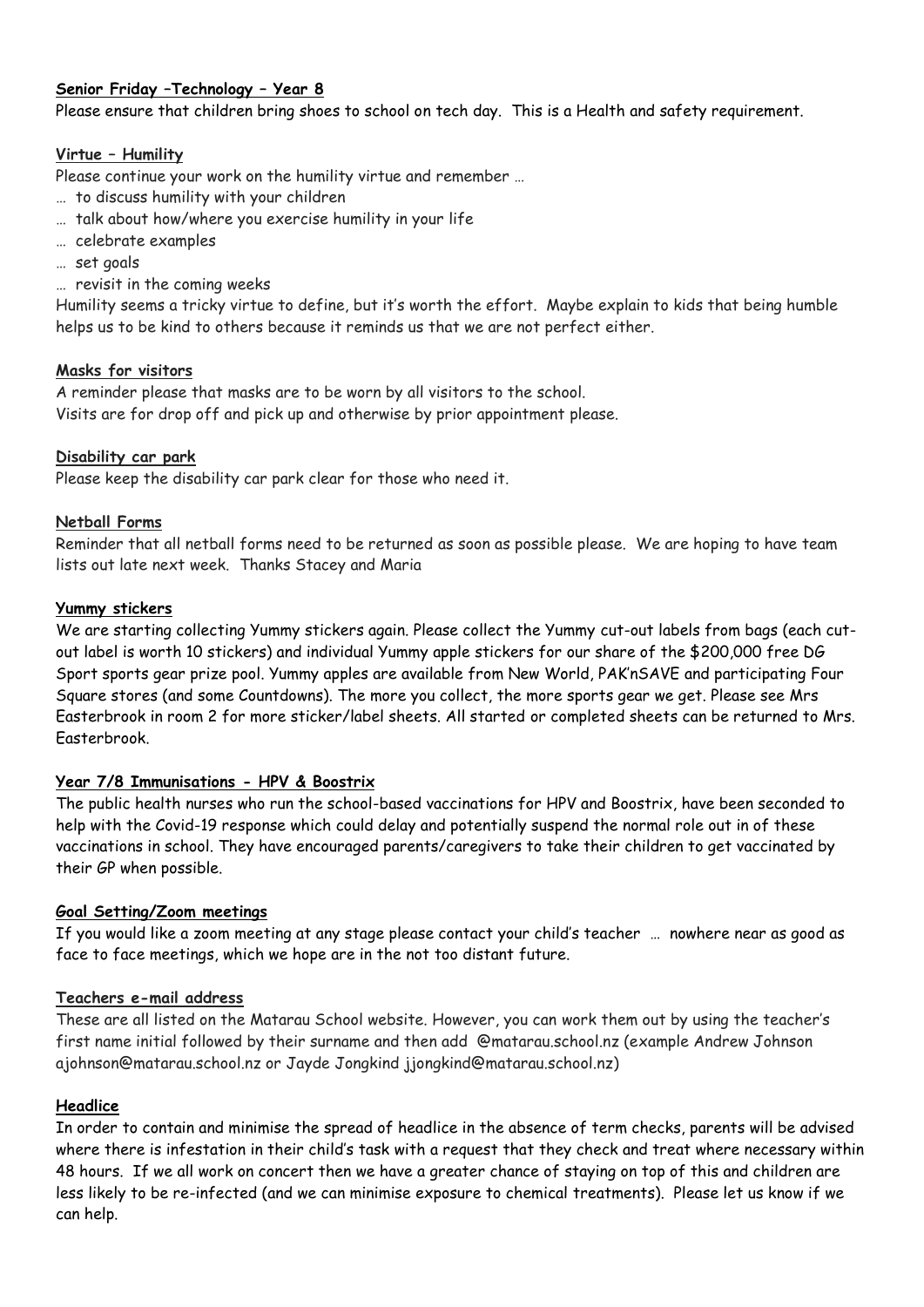#### **Senior Friday –Technology – Year 8**

Please ensure that children bring shoes to school on tech day. This is a Health and safety requirement.

#### **Virtue – Humility**

Please continue your work on the humility virtue and remember …

- … to discuss humility with your children
- … talk about how/where you exercise humility in your life
- … celebrate examples
- … set goals
- … revisit in the coming weeks

Humility seems a tricky virtue to define, but it's worth the effort. Maybe explain to kids that being humble helps us to be kind to others because it reminds us that we are not perfect either.

#### **Masks for visitors**

A reminder please that masks are to be worn by all visitors to the school. Visits are for drop off and pick up and otherwise by prior appointment please.

#### **Disability car park**

Please keep the disability car park clear for those who need it.

#### **Netball Forms**

Reminder that all netball forms need to be returned as soon as possible please. We are hoping to have team lists out late next week. Thanks Stacey and Maria

#### **Yummy stickers**

We are starting collecting Yummy stickers again. Please collect the Yummy cut-out labels from bags (each cutout label is worth 10 stickers) and individual Yummy apple stickers for our share of the \$200,000 free DG Sport sports gear prize pool. Yummy apples are available from New World, PAK'nSAVE and participating Four Square stores (and some Countdowns). The more you collect, the more sports gear we get. Please see Mrs Easterbrook in room 2 for more sticker/label sheets. All started or completed sheets can be returned to Mrs. Easterbrook.

#### **Year 7/8 Immunisations - HPV & Boostrix**

The public health nurses who run the school-based vaccinations for HPV and Boostrix, have been seconded to help with the Covid-19 response which could delay and potentially suspend the normal role out in of these vaccinations in school. They have encouraged parents/caregivers to take their children to get vaccinated by their GP when possible.

#### **Goal Setting/Zoom meetings**

If you would like a zoom meeting at any stage please contact your child's teacher … nowhere near as good as face to face meetings, which we hope are in the not too distant future.

#### **Teachers e-mail address**

These are all listed on the Matarau School website. However, you can work them out by using the teacher's first name initial followed by their surname and then add @matarau.school.nz (example Andrew Johnson ajohnson@matarau.school.nz or Jayde Jongkind jjongkind@matarau.school.nz)

#### **Headlice**

In order to contain and minimise the spread of headlice in the absence of term checks, parents will be advised where there is infestation in their child's task with a request that they check and treat where necessary within 48 hours. If we all work on concert then we have a greater chance of staying on top of this and children are less likely to be re-infected (and we can minimise exposure to chemical treatments). Please let us know if we can help.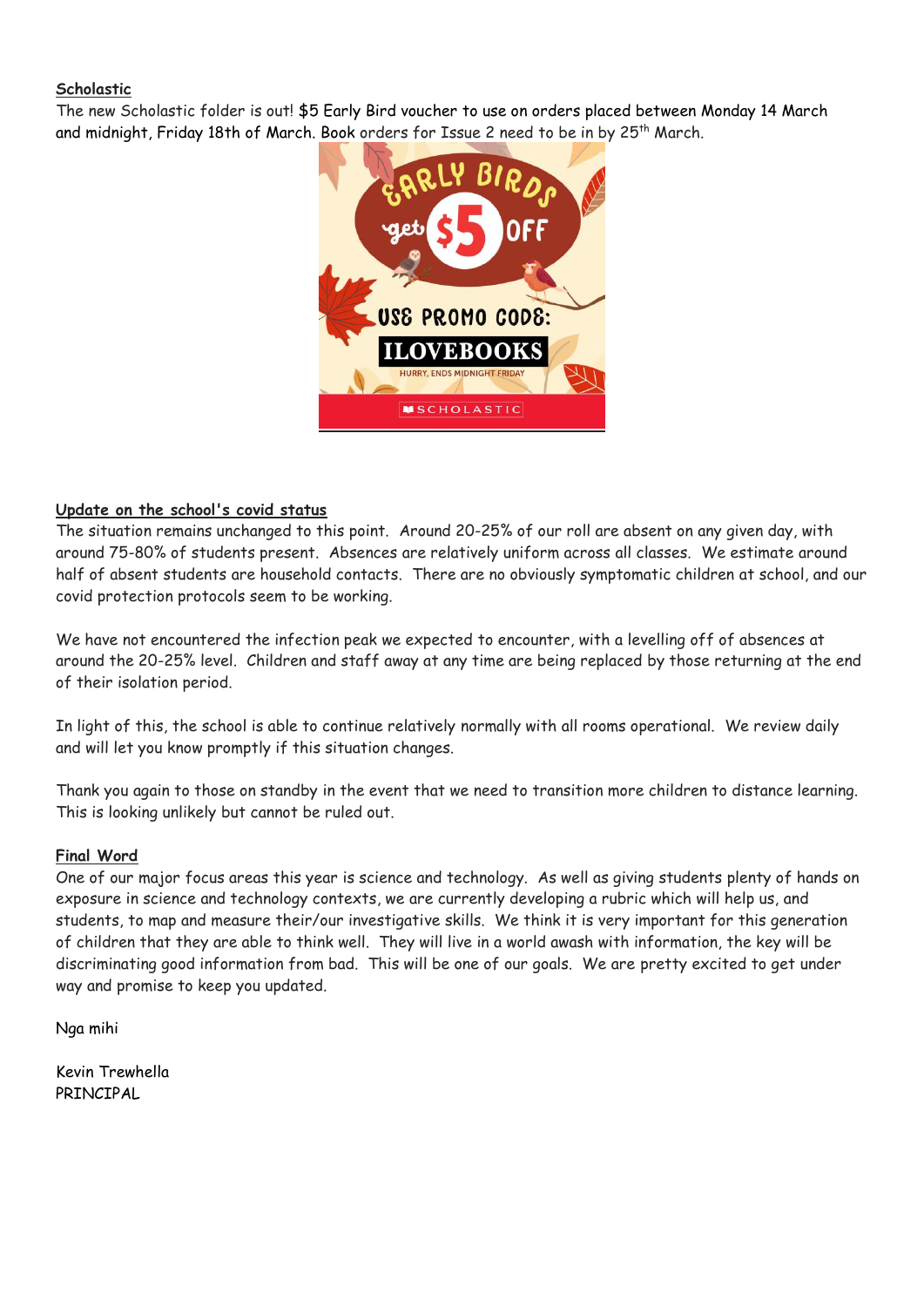#### **Scholastic**

The new Scholastic folder is out! \$5 Early Bird voucher to use on orders placed between Monday 14 March and midnight, Friday 18th of March. Book orders for Issue 2 need to be in by 25<sup>th</sup> March.



#### **Update on the school's covid status**

The situation remains unchanged to this point. Around 20-25% of our roll are absent on any given day, with around 75-80% of students present. Absences are relatively uniform across all classes. We estimate around half of absent students are household contacts. There are no obviously symptomatic children at school, and our covid protection protocols seem to be working.

We have not encountered the infection peak we expected to encounter, with a levelling off of absences at around the 20-25% level. Children and staff away at any time are being replaced by those returning at the end of their isolation period.

In light of this, the school is able to continue relatively normally with all rooms operational. We review daily and will let you know promptly if this situation changes.

Thank you again to those on standby in the event that we need to transition more children to distance learning. This is looking unlikely but cannot be ruled out.

#### **Final Word**

One of our major focus areas this year is science and technology. As well as giving students plenty of hands on exposure in science and technology contexts, we are currently developing a rubric which will help us, and students, to map and measure their/our investigative skills. We think it is very important for this generation of children that they are able to think well. They will live in a world awash with information, the key will be discriminating good information from bad. This will be one of our goals. We are pretty excited to get under way and promise to keep you updated.

Nga mihi

Kevin Trewhella PRINCIPAL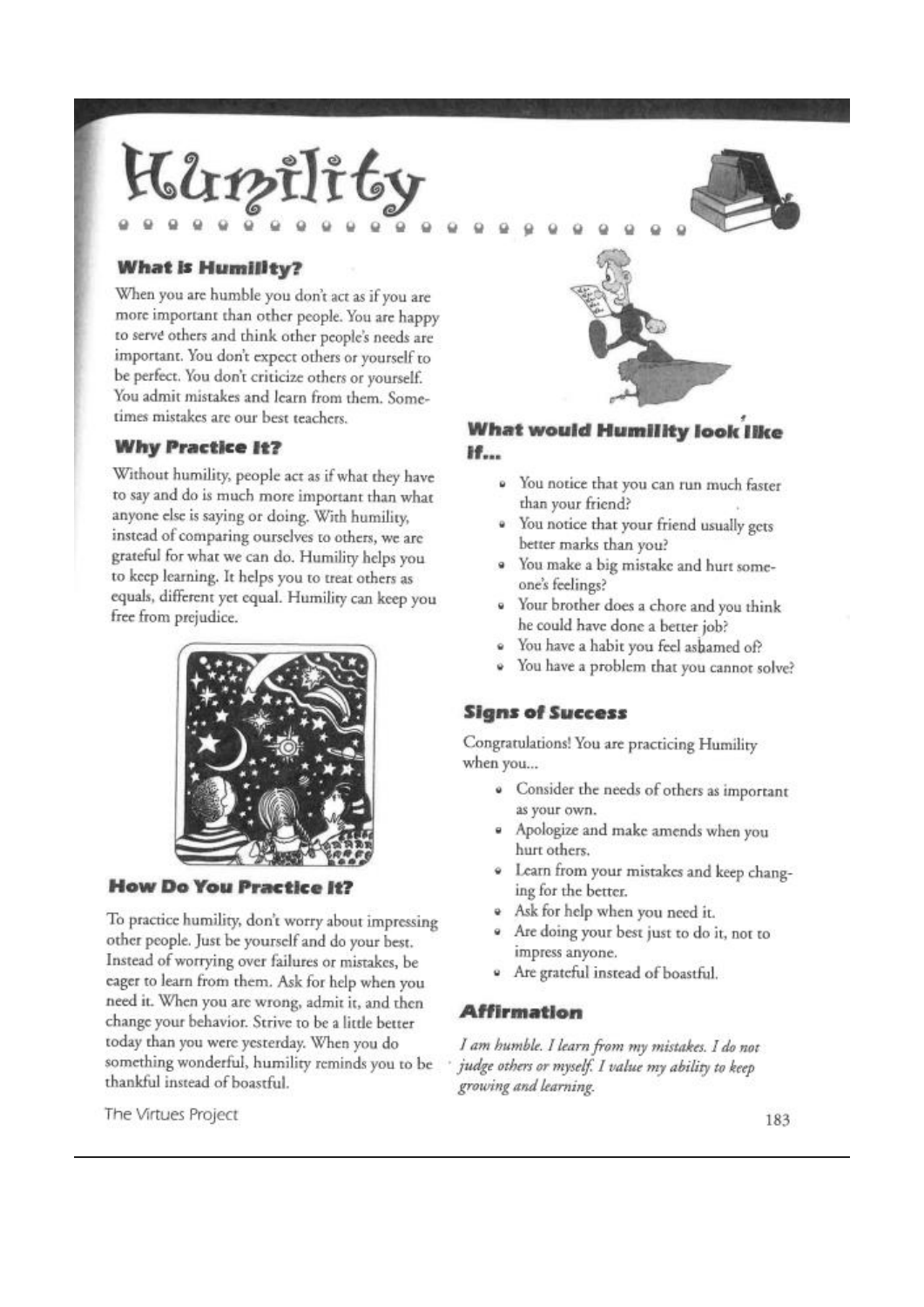

#### **What is Humility?**

When you are humble you don't act as if you are more important than other people. You are happy to serve others and think other people's needs are important. You don't expect others or yourself to be perfect. You don't criticize others or yourself. You admit mistakes and learn from them. Sometimes mistakes are our best teachers.

#### **Why Practice It?**

Without humility, people act as if what they have to say and do is much more important than what anyone else is saying or doing. With humility, instead of comparing ourselves to others, we are grateful for what we can do. Humility helps you to keep learning. It helps you to treat others as equals, different yet equal. Humility can keep you free from prejudice.



**How Do You Practice It?** 

To practice humility, don't worry about impressing other people. Just be yourself and do your best. Instead of worrying over failures or mistakes, be eager to learn from them. Ask for help when you need it. When you are wrong, admit it, and then change your behavior. Strive to be a little better today than you were yesterday. When you do something wonderful, humility reminds you to be thankful instead of boastful.

The Virtues Project

#### **What would Humility look like** H...

- · You notice that you can run much faster than your friend?
- You notice that your friend usually gets 'n. better marks than you?
- · You make a big mistake and hurt someone's feelings?
- Your brother does a chore and you think he could have done a better job?
- You have a habit you feel asbamed of?
- You have a problem that you cannot solve?

#### **Signs of Success**

Congratulations! You are practicing Humility when you...

- · Consider the needs of others as important as your own.
- · Apologize and make amends when you hurt others.
- Learn from your mistakes and keep changing for the better.
- · Ask for help when you need it.
- · Are doing your best just to do it, not to impress anyone.
- · Are grateful instead of boastful.

#### **Affirmation**

I am humble. I learn from my mistakes. I do not judge others or myself. I value my ability to keep growing and learning.